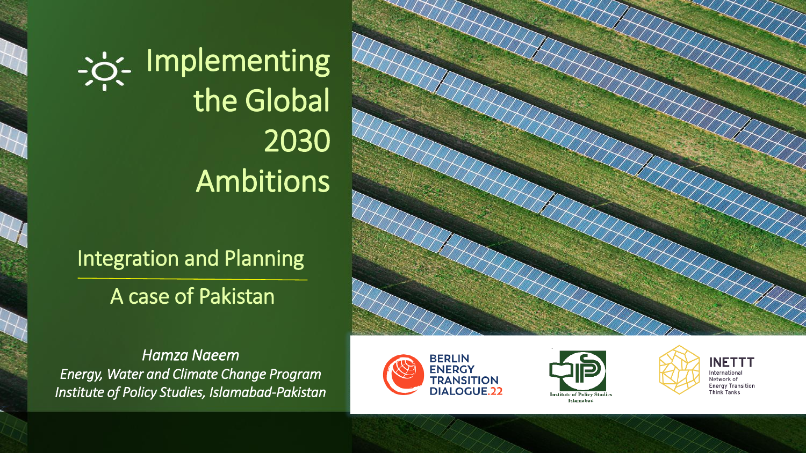Implementing the Global 2030 Ambitions

### Integration and Planning

### A case of Pakistan

*Hamza Naeem Energy, Water and Climate Change Program Institute of Policy Studies, Islamabad-Pakistan*







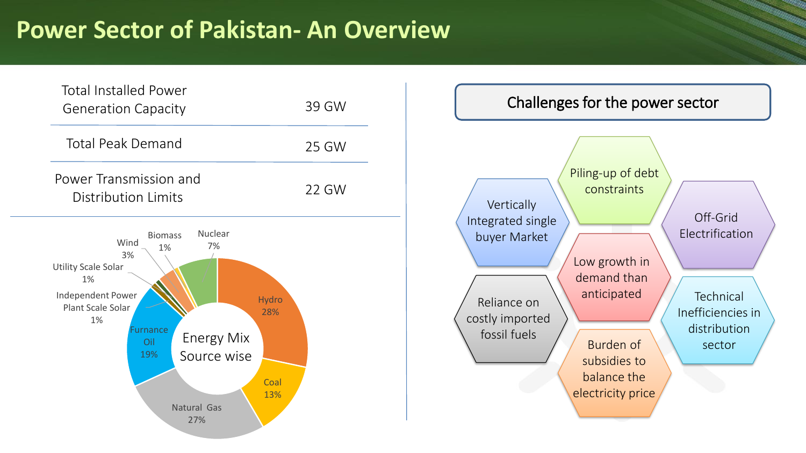## **Power Sector of Pakistan- An Overview**



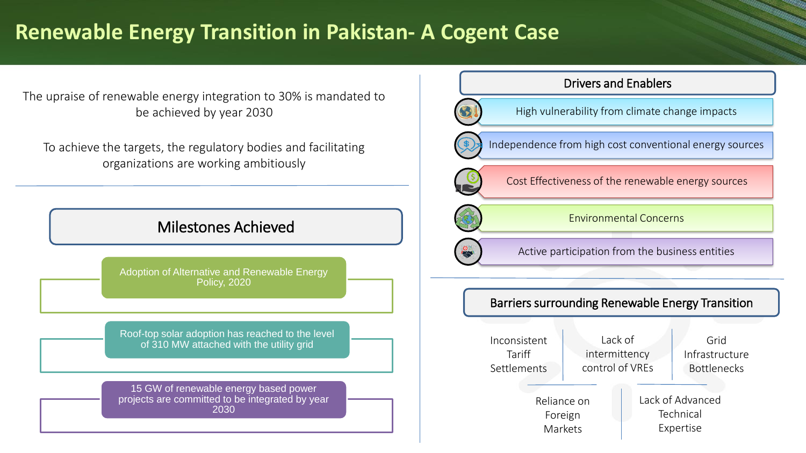#### **Renewable Energy Transition in Pakistan- A Cogent Case**

The upraise of renewable energy integration to 30% is mandated to be achieved by year 2030

To achieve the targets, the regulatory bodies and facilitating organizations are working ambitiously

#### Milestones Achieved

Adoption of Alternative and Renewable Energy Policy, 2020

Roof-top solar adoption has reached to the level of 310 MW attached with the utility grid

15 GW of renewable energy based power projects are committed to be integrated by year 2030

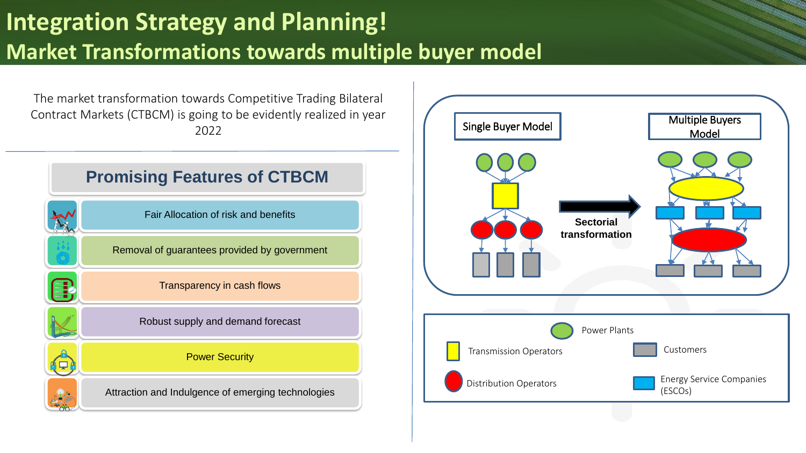# **Integration Strategy and Planning! Market Transformations towards multiple buyer model**

The market transformation towards Competitive Trading Bilateral Contract Markets (CTBCM) is going to be evidently realized in year 2022



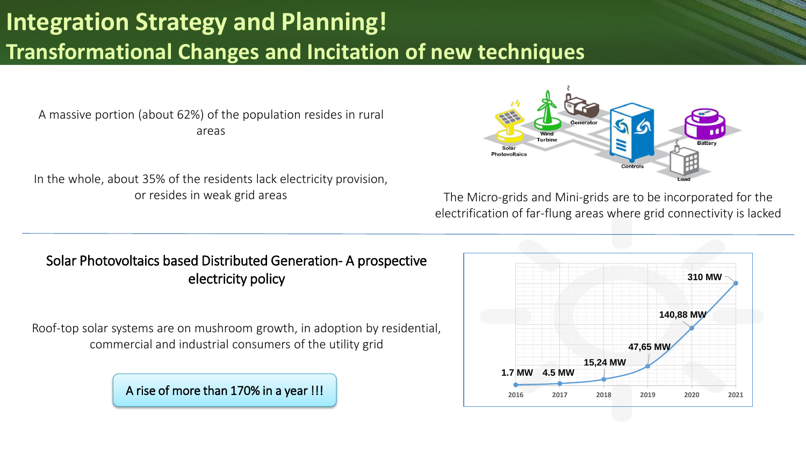# **Integration Strategy and Planning! Transformational Changes and Incitation of new techniques**

A massive portion (about 62%) of the population resides in rural areas

In the whole, about 35% of the residents lack electricity provision,



or resides in weak grid areas The Micro-grids and Mini-grids are to be incorporated for the electrification of far-flung areas where grid connectivity is lacked

#### Solar Photovoltaics based Distributed Generation- A prospective electricity policy

Roof-top solar systems are on mushroom growth, in adoption by residential, commercial and industrial consumers of the utility grid

A rise of more than 170% in a year !!!

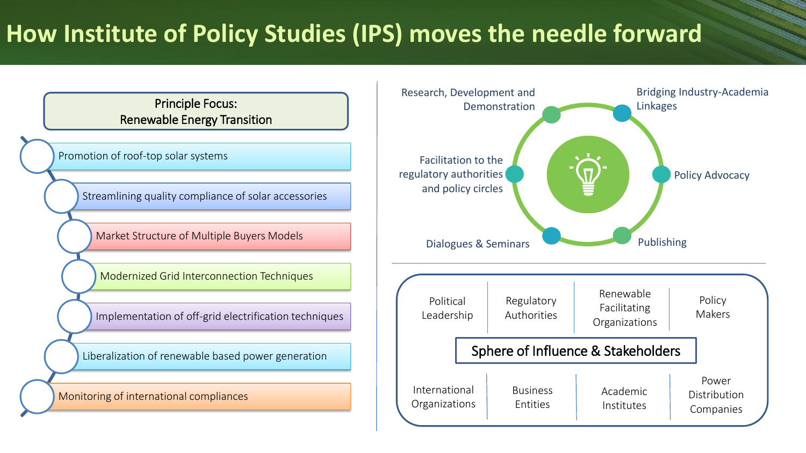# **How Institute of Policy Studies (IPS) moves the needle forward**